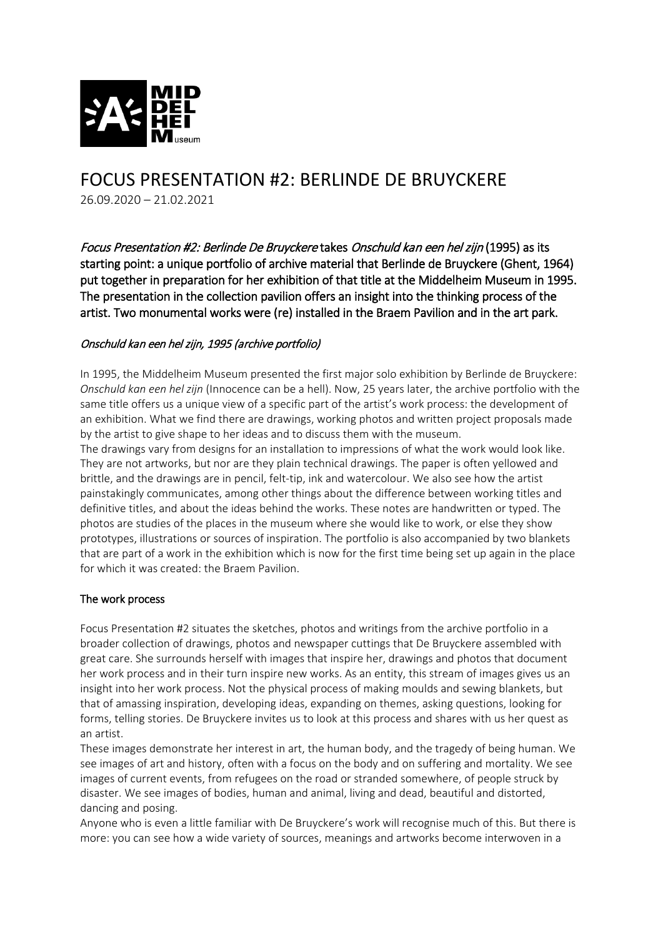

# FOCUS PRESENTATION #2: BERLINDE DE BRUYCKERE 26.09.2020 – 21.02.2021

Focus Presentation #2: Berlinde De Bruyckere takes Onschuld kan een hel zijn (1995) as its starting point: a unique portfolio of archive material that Berlinde de Bruyckere (Ghent, 1964) put together in preparation for her exhibition of that title at the Middelheim Museum in 1995. The presentation in the collection pavilion offers an insight into the thinking process of the artist. Two monumental works were (re) installed in the Braem Pavilion and in the art park.

# Onschuld kan een hel zijn, 1995 (archive portfolio)

In 1995, the Middelheim Museum presented the first major solo exhibition by Berlinde de Bruyckere: *Onschuld kan een hel zijn* (Innocence can be a hell). Now, 25 years later, the archive portfolio with the same title offers us a unique view of a specific part of the artist's work process: the development of an exhibition. What we find there are drawings, working photos and written project proposals made by the artist to give shape to her ideas and to discuss them with the museum.

The drawings vary from designs for an installation to impressions of what the work would look like. They are not artworks, but nor are they plain technical drawings. The paper is often yellowed and brittle, and the drawings are in pencil, felt-tip, ink and watercolour. We also see how the artist painstakingly communicates, among other things about the difference between working titles and definitive titles, and about the ideas behind the works. These notes are handwritten or typed. The photos are studies of the places in the museum where she would like to work, or else they show prototypes, illustrations or sources of inspiration. The portfolio is also accompanied by two blankets that are part of a work in the exhibition which is now for the first time being set up again in the place for which it was created: the Braem Pavilion.

## The work process

Focus Presentation #2 situates the sketches, photos and writings from the archive portfolio in a broader collection of drawings, photos and newspaper cuttings that De Bruyckere assembled with great care. She surrounds herself with images that inspire her, drawings and photos that document her work process and in their turn inspire new works. As an entity, this stream of images gives us an insight into her work process. Not the physical process of making moulds and sewing blankets, but that of amassing inspiration, developing ideas, expanding on themes, asking questions, looking for forms, telling stories. De Bruyckere invites us to look at this process and shares with us her quest as an artist.

These images demonstrate her interest in art, the human body, and the tragedy of being human. We see images of art and history, often with a focus on the body and on suffering and mortality. We see images of current events, from refugees on the road or stranded somewhere, of people struck by disaster. We see images of bodies, human and animal, living and dead, beautiful and distorted, dancing and posing.

Anyone who is even a little familiar with De Bruyckere's work will recognise much of this. But there is more: you can see how a wide variety of sources, meanings and artworks become interwoven in a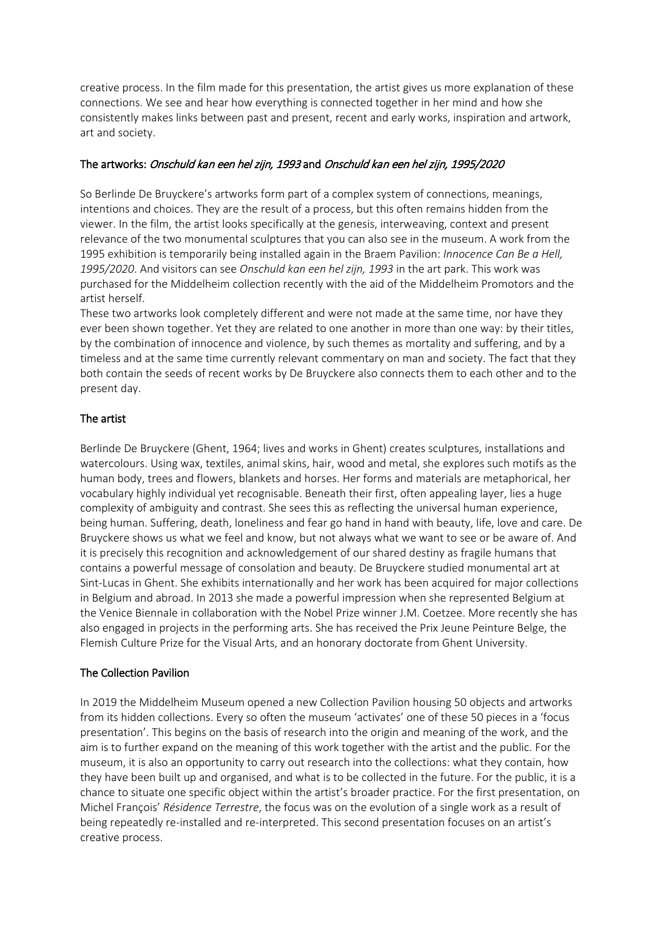creative process. In the film made for this presentation, the artist gives us more explanation of these connections. We see and hear how everything is connected together in her mind and how she consistently makes links between past and present, recent and early works, inspiration and artwork, art and society.

## The artworks: Onschuld kan een hel zijn, 1993 and Onschuld kan een hel zijn, 1995/2020

So Berlinde De Bruyckere's artworks form part of a complex system of connections, meanings, intentions and choices. They are the result of a process, but this often remains hidden from the viewer. In the film, the artist looks specifically at the genesis, interweaving, context and present relevance of the two monumental sculptures that you can also see in the museum. A work from the 1995 exhibition is temporarily being installed again in the Braem Pavilion: *Innocence Can Be a Hell, 1995/2020*. And visitors can see *Onschuld kan een hel zijn, 1993* in the art park. This work was purchased for the Middelheim collection recently with the aid of the Middelheim Promotors and the artist herself.

These two artworks look completely different and were not made at the same time, nor have they ever been shown together. Yet they are related to one another in more than one way: by their titles, by the combination of innocence and violence, by such themes as mortality and suffering, and by a timeless and at the same time currently relevant commentary on man and society. The fact that they both contain the seeds of recent works by De Bruyckere also connects them to each other and to the present day.

## The artist

Berlinde De Bruyckere (Ghent, 1964; lives and works in Ghent) creates sculptures, installations and watercolours. Using wax, textiles, animal skins, hair, wood and metal, she explores such motifs as the human body, trees and flowers, blankets and horses. Her forms and materials are metaphorical, her vocabulary highly individual yet recognisable. Beneath their first, often appealing layer, lies a huge complexity of ambiguity and contrast. She sees this as reflecting the universal human experience, being human. Suffering, death, loneliness and fear go hand in hand with beauty, life, love and care. De Bruyckere shows us what we feel and know, but not always what we want to see or be aware of. And it is precisely this recognition and acknowledgement of our shared destiny as fragile humans that contains a powerful message of consolation and beauty. De Bruyckere studied monumental art at Sint-Lucas in Ghent. She exhibits internationally and her work has been acquired for major collections in Belgium and abroad. In 2013 she made a powerful impression when she represented Belgium at the Venice Biennale in collaboration with the Nobel Prize winner J.M. Coetzee. More recently she has also engaged in projects in the performing arts. She has received the Prix Jeune Peinture Belge, the Flemish Culture Prize for the Visual Arts, and an honorary doctorate from Ghent University.

#### The Collection Pavilion

In 2019 the Middelheim Museum opened a new Collection Pavilion housing 50 objects and artworks from its hidden collections. Every so often the museum 'activates' one of these 50 pieces in a 'focus presentation'. This begins on the basis of research into the origin and meaning of the work, and the aim is to further expand on the meaning of this work together with the artist and the public. For the museum, it is also an opportunity to carry out research into the collections: what they contain, how they have been built up and organised, and what is to be collected in the future. For the public, it is a chance to situate one specific object within the artist's broader practice. For the first presentation, on Michel François' *Résidence Terrestre*, the focus was on the evolution of a single work as a result of being repeatedly re-installed and re-interpreted. This second presentation focuses on an artist's creative process.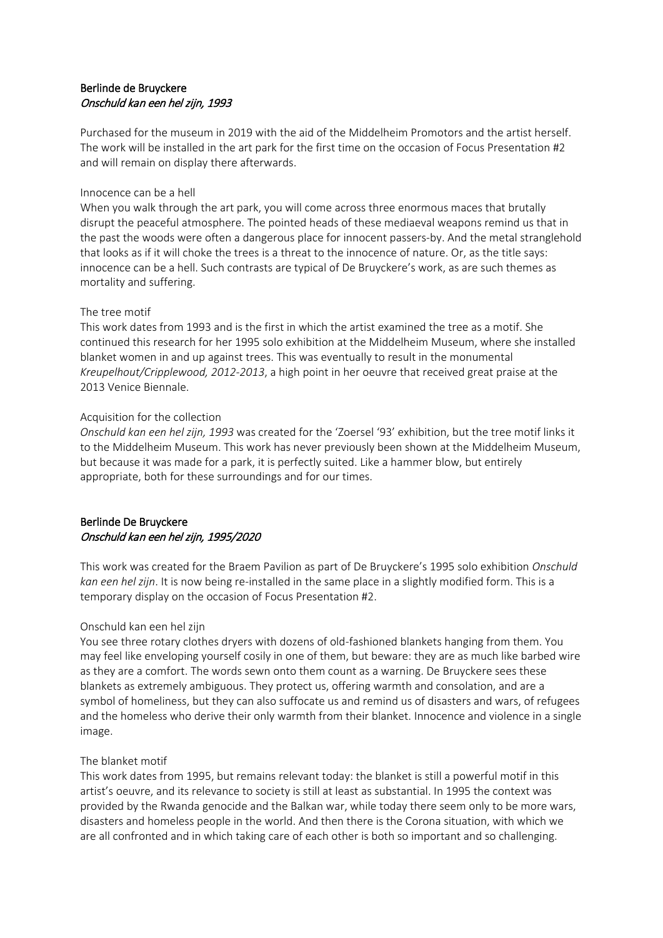# Berlinde de Bruyckere Onschuld kan een hel zijn, 1993

Purchased for the museum in 2019 with the aid of the Middelheim Promotors and the artist herself. The work will be installed in the art park for the first time on the occasion of Focus Presentation #2 and will remain on display there afterwards.

#### Innocence can be a hell

When you walk through the art park, you will come across three enormous maces that brutally disrupt the peaceful atmosphere. The pointed heads of these mediaeval weapons remind us that in the past the woods were often a dangerous place for innocent passers-by. And the metal stranglehold that looks as if it will choke the trees is a threat to the innocence of nature. Or, as the title says: innocence can be a hell. Such contrasts are typical of De Bruyckere's work, as are such themes as mortality and suffering.

## The tree motif

This work dates from 1993 and is the first in which the artist examined the tree as a motif. She continued this research for her 1995 solo exhibition at the Middelheim Museum, where she installed blanket women in and up against trees. This was eventually to result in the monumental *Kreupelhout/Cripplewood, 2012-2013*, a high point in her oeuvre that received great praise at the 2013 Venice Biennale.

## Acquisition for the collection

*Onschuld kan een hel zijn, 1993* was created for the 'Zoersel '93' exhibition, but the tree motif links it to the Middelheim Museum. This work has never previously been shown at the Middelheim Museum, but because it was made for a park, it is perfectly suited. Like a hammer blow, but entirely appropriate, both for these surroundings and for our times.

## Berlinde De Bruyckere Onschuld kan een hel zijn, 1995/2020

This work was created for the Braem Pavilion as part of De Bruyckere's 1995 solo exhibition *Onschuld kan een hel zijn*. It is now being re-installed in the same place in a slightly modified form. This is a temporary display on the occasion of Focus Presentation #2.

## Onschuld kan een hel zijn

You see three rotary clothes dryers with dozens of old-fashioned blankets hanging from them. You may feel like enveloping yourself cosily in one of them, but beware: they are as much like barbed wire as they are a comfort. The words sewn onto them count as a warning. De Bruyckere sees these blankets as extremely ambiguous. They protect us, offering warmth and consolation, and are a symbol of homeliness, but they can also suffocate us and remind us of disasters and wars, of refugees and the homeless who derive their only warmth from their blanket. Innocence and violence in a single image.

## The blanket motif

This work dates from 1995, but remains relevant today: the blanket is still a powerful motif in this artist's oeuvre, and its relevance to society is still at least as substantial. In 1995 the context was provided by the Rwanda genocide and the Balkan war, while today there seem only to be more wars, disasters and homeless people in the world. And then there is the Corona situation, with which we are all confronted and in which taking care of each other is both so important and so challenging.